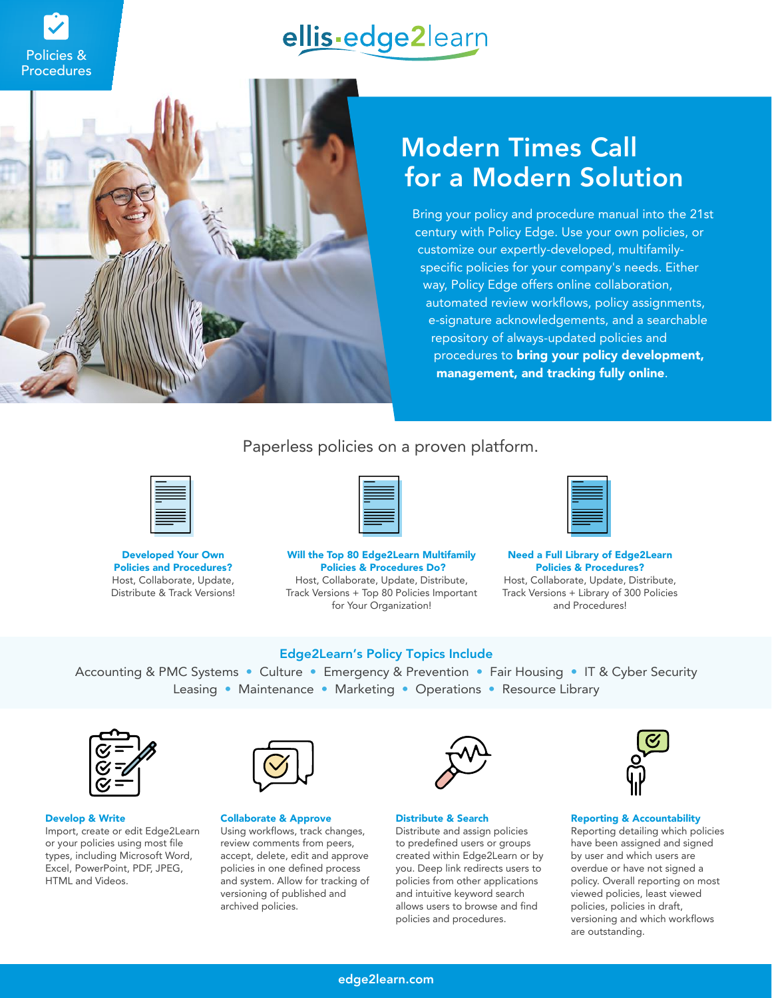



Policies &

# Modern Times Call for a Modern Solution

Bring your policy and procedure manual into the 21st century with Policy Edge. Use your own policies, or customize our expertly-developed, multifamilyspecific policies for your company's needs. Either way, Policy Edge offers online collaboration, automated review workflows, policy assignments, e-signature acknowledgements, and a searchable repository of always-updated policies and procedures to **bring your policy development,** management, and tracking fully online.

### Paperless policies on a proven platform.



Developed Your Own Policies and Procedures? Host, Collaborate, Update, Distribute & Track Versions!



Will the Top 80 Edge2Learn Multifamily Policies & Procedures Do? Host, Collaborate, Update, Distribute, Track Versions + Top 80 Policies Important

for Your Organization!



Need a Full Library of Edge2Learn Policies & Procedures? Host, Collaborate, Update, Distribute, Track Versions + Library of 300 Policies and Procedures!

### Edge2Learn's Policy Topics Include

Accounting & PMC Systems • Culture • Emergency & Prevention • Fair Housing • IT & Cyber Security Leasing • Maintenance • Marketing • Operations • Resource Library



#### Develop & Write

Import, create or edit Edge2Learn or your policies using most file types, including Microsoft Word, Excel, PowerPoint, PDF, JPEG, HTML and Videos.



#### Collaborate & Approve

Using workflows, track changes, review comments from peers, accept, delete, edit and approve policies in one defined process and system. Allow for tracking of versioning of published and archived policies.



#### Distribute & Search

Distribute and assign policies to predefined users or groups created within Edge2Learn or by you. Deep link redirects users to policies from other applications and intuitive keyword search allows users to browse and find policies and procedures.



### Reporting & Accountability

Reporting detailing which policies have been assigned and signed by user and which users are overdue or have not signed a policy. Overall reporting on most viewed policies, least viewed policies, policies in draft, versioning and which workflows are outstanding.